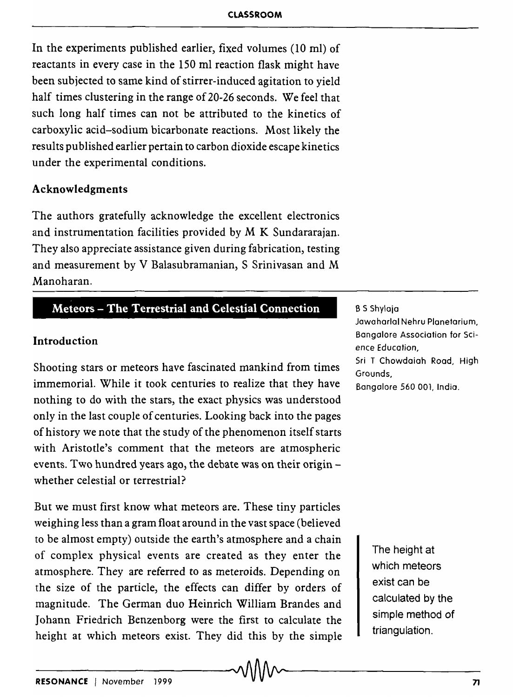In the experiments published earlier, fixed volumes (10 ml) of reactants in every case in the 150 ml reaction flask might have been subjected to same kind of stirrer-induced agitation to yield half times clustering in the range of 20-26 seconds. We feel that such long half times can not be attributed to the kinetics of carboxylic acid-sodium bicarbonate reactions. Most likely the results published earlier pertain to carbon dioxide escape kinetics under the experimental conditions.

### Acknowledgments

The authors gratefully acknowledge the excellent electronics and instrumentation facilities provided by M K Sundararajan. They also appreciate assistance given during fabrication, testing and measurement by V Balasubramanian, S Srinivasan and M Manoharan.

## Meteors - The Terrestrial and Celestial Connection

### Introduction

Shooting stars or meteors have fascinated mankind from times immemorial. While it took centuries to realize that they have nothing to do with the stars, the exact physics was understood only in the last couple of centuries. Looking back into the pages of history we note that the study of the phenomenon itself starts with Aristotle's comment that the meteors are atmospheric events. Two hundred years ago, the debate was on their originwhether celestial or terrestrial?

But we must first know what meteors are. These tiny particles weighing less than a gram float around in the vast space (believed to be almost empty) outside the earth's atmosphere and a chain of complex physical events are created as they enter the atmosphere. They are referred to as meteroids. Depending on the size of the particle, the effects can differ by orders of magnitude. The German duo Heinrich William Brandes and Johann Friedrich Benzenborg were the first to calculate the height at which meteors exist. They did this by the simple

#### B S Shylaja

Jawaharlal Nehru Planetarium, Bangalore Association for Science Educafion, Sri T Chowdaiah Road, High Grounds, Bangalore 560 001, India.

> The height at which meteors exist can be calculated by the simple method of triangulation.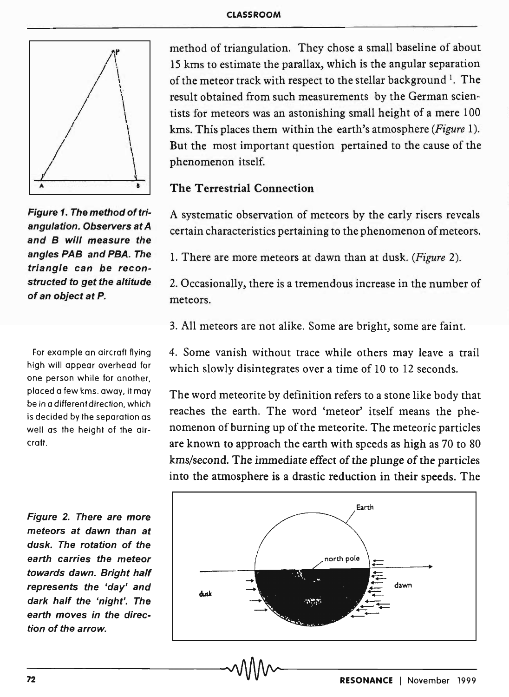

Figure 1. The method of triangulation. Observers at A and B will measure the angles PAB and PBA. The triangle can be reconstructed to get the altitude of an object at P.

For example an aircraft flying high will appear overhead for one person while for another, placed a few kms. away, it may be in a different direction, which is decided by the separation as well as the height of the aircraft .

Figure 2. There are more meteors at dawn than at dusk. The rotation of the earth carries the meteor towards dawn. Bright half represents the 'day' and dark half the 'night'. The earth moves in the direction of the arrow.

method of triangulation. They chose a small baseline of about 15 kms to estimate the parallax, which is the angular separation of the meteor track with respect to the stellar background  $l$ . The result obtained from such measurements by the German scientists for meteors was an astonishing small height of a mere 100 kms. This places them within the earth's atmosphere *(Figure 1).*  But the most important question pertained to the cause of the phenomenon itself.

# The Terrestrial Connection

A systematic observation of meteors by the early risers reveals certain characteristics pertaining to the phenomenon of meteors.

1. There are more meteors at dawn than at dusk. *(Figure 2).* 

2. Occasionally, there is a tremendous increase in the number of meteors.

3. All meteors are not alike. Some are bright, some are faint.

4. Some vanish without trace while others may leave a trail which slowly disintegrates over a time of 10 to 12 seconds.

The word meteorite by definition refers to a stone like body that reaches the earth. The word 'meteor' itself means the phenomenon of burning up of the meteorite. The meteoric particles are known to approach the earth with speeds as high as 70 to 80 kms/second. The *immediate* effect of the plunge of the particles into the atmosphere is a drastic reduction in their speeds. The

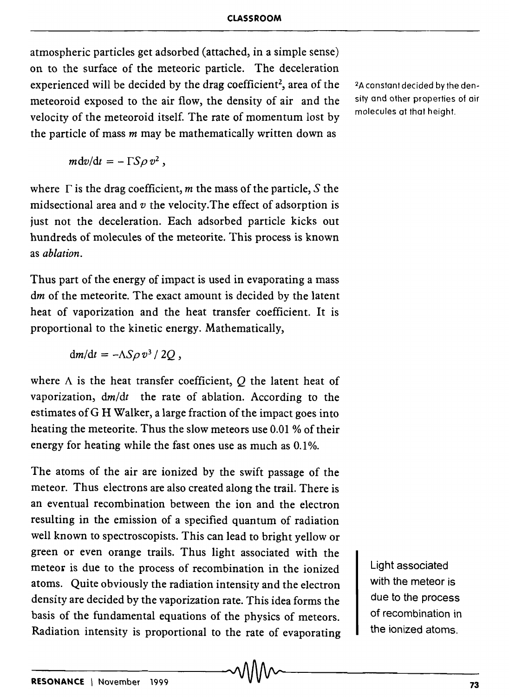atmospheric particles get adsorbed (attached, in a simple sense) on to the surface of the meteoric particle. The deceleration experienced will be decided by the drag coefficient<sup>2</sup>, area of the meteoroid exposed to the air flow, the density of air and the velocity of the meteoroid itself. The rate of momentum lost by the particle of mass *m* may be mathematically written down as

 $mdv/dt = - \Gamma S \rho v^2$ ,

where  $\Gamma$  is the drag coefficient, m the mass of the particle, S the midsectional area and *v* the velocity. The effect of adsorption is just not the deceleration. Each adsorbed particle kicks out hundreds of molecules of the meteorite. This process is known as *ablation.* 

Thus part of the energy of impact is used in evaporating a mass dm of the meteorite. The exact amount is decided by the latent heat of vaporization and the heat transfer coefficient. It is proportional to the kinetic energy. Mathematically,

 $dm/dt = -\Lambda S\rho v^3/2Q$ ,

where  $\Lambda$  is the heat transfer coefficient,  $\overline{O}$  the latent heat of vaporization, *dm/dt* the rate of ablation. According to the estimates ofG H Walker, a large fraction of the impact goes into heating the meteorite. Thus the slow meteors use 0.01 % of their energy for heating while the fast ones use as much as 0.1%.

The atoms of the air are ionized by the swift passage of the meteor. Thus electrons are also created along the trail. There is an eventual recombination between the ion and the electron resulting in the emission of a specified quantum of radiation well known to spectroscopists. This can lead to bright yellow or green or even orange trails. Thus light associated with the meteor is due to the process of recombination in the ionized atoms. Quite obviously the radiation intensity and the electron density are decided by the vaporization rate. This idea forms the basis of the fundamental equations of the physics of meteors. Radiation intensity is proportional to the rate of evaporating RESONANCE | November 1999 . v V V V V V 73

2A constant decided by the density and other properties of air molecules at that height.

> Light associated with the meteor is due to the process of recombination in the ionized atoms.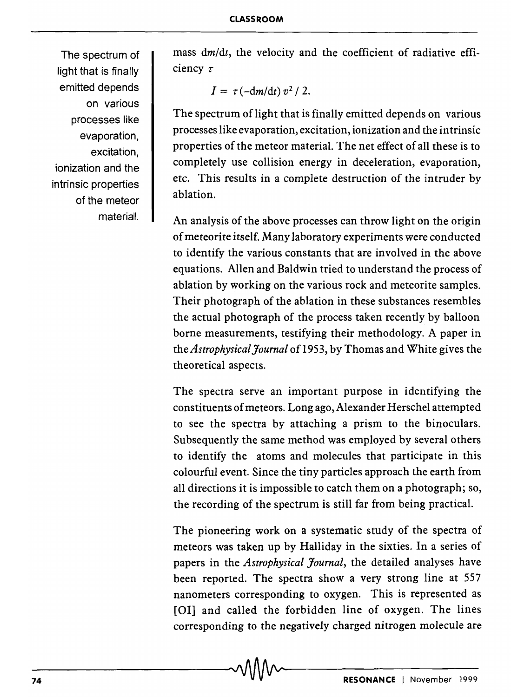The spectrum of light that is finally emitted depends on various processes like evaporation, excitation, ionization and the intrinsic properties of the meteor material.

mass  $dm/dt$ , the velocity and the coefficient of radiative efficiency  $\tau$ 

$$
I = \tau \left( -\frac{dm}{dt} \right) v^2 / 2.
$$

The spectrum of light that is finally emitted depends on various processes like evaporation, excitation, ionization and the intrinsic properties of the meteor material. The net effect of all these is to completely use collision energy in deceleration, evaporation, etc. This results in a complete destruction of the intruder by ablation.

An analysis of the above processes can throw light on the origin of meteorite itself. Many laboratory experiments were conducted to identify the various constants that are involved in the above equations. Allen and Baldwin tried to understand the process of ablation by working on the various rock and meteorite samples. Their photograph of the ablation in these substances resembles the actual photograph of the process taken recently by balloon borne measurements, testifying their methodology. A paper in the *Astrophysical Journal* of 1953, by Thomas and White gives the theoretical aspects.

The spectra serve an important purpose in identifying the constituents of meteors. Long ago, Alexander Herschel attempted to see the spectra by attaching a prism to the binoculars. Subsequently the same method was employed by several others to identify the atoms and molecules that participate in this colourful event. Since the tiny particles approach the earth from all directions it is impossible to catch them on a photograph; so, the recording of the spectrum is still far from being practical.

The pioneering work on a systematic study of the spectra of meteors was taken up by Halliday in the sixties. In a series of papers in the *Astrophysical Journal,* the detailed analyses have been reported. The spectra show a very strong line at 557 nanometers corresponding to oxygen. This is represented as [OI] and called the forbidden line of oxygen. The lines corresponding to the negatively charged nitrogen molecule are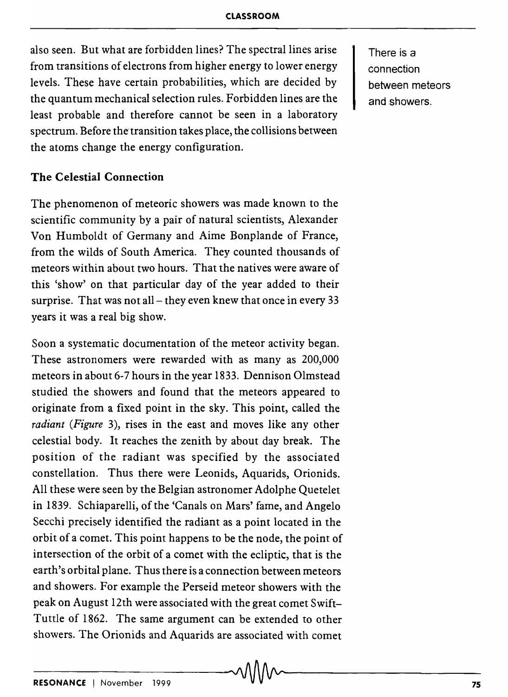also seen. But what are forbidden lines? The spectral lines arise from transitions of electrons from higher energy to lower energy levels. These have certain probabilities, which are decided by the quantum mechanical selection rules. Forbidden lines are the least probable and therefore cannot be seen in a laboratory spectrum. Before the transition takes place, the collisions between the atoms change the energy configuration.

There is a connection between meteors and showers.

## **The Celestial Connection**

The phenomenon of meteoric showers was made known to the scientific community by a pair of natural scientists, Alexander Von Humboldt of Germany and Aime Bonplande of France, from the wilds of South America. They counted thousands of meteors within about two hours. That the natives were aware of this 'show' on that particular day of the year added to their surprise. That was not all  $-$  they even knew that once in every 33 years it was a real big show.

Soon a systematic documentation of the meteor activity began. These astronomers were rewarded with as many as 200,000 meteors in about 6-7 hours in the year 1833. Dennison Olmstead studied the showers and found that the meteors appeared to originate from a fixed point in the sky. This point, called the *radiant (Figure* 3), rises in the east and moves like any other celestial body. It reaches the zenith by about day break. The position of the radiant was specified by the associated constellation. Thus there were Leonids, Aquarids, Orionids. All these were seen by the Belgian astronomer Adolphe Quetelet in 1839. Schiaparelli, of the 'Canals on Mars' fame, and Angelo Secchi precisely identified the radiant as a point located in the orbit of a comet. This point happens to be the node, the point of intersection of the orbit of a comet with the ecliptic, that is the earth's orbital plane. Thus there is a connection between meteors and showers. For example the Perseid meteor showers with the peak on August 12th were associated with the great comet Swift-Tuttle of 1862. The same argument can be extended to other showers. The Orionids and Aquarids are associated with comet <br> **AA**<br> **RESONANCE** I November 1999 -v 75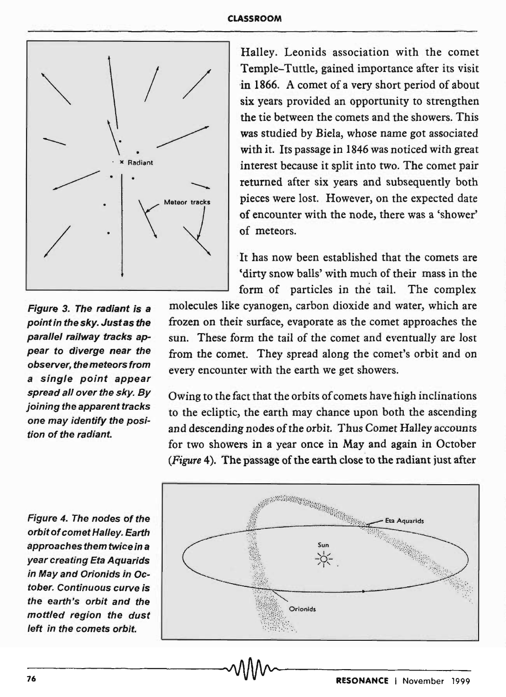### CLASSROOM



Figure 3. The radiant is a point in the sky. Just as the parallel railway tracks appear to diverge near the observer, the meteors from a single point appear spread all over the sky. By joining the apparent tracks one may identify the position of the radiant.

Halley. Leonids association with the comet Temple-Tuttle, gained importance after its visit in 1866. A comet of a very short period of about six years provided an opportunity to strengthen the tie between the comets and the showers. This was studied by Biela, whose name got associated with it. Its passage in 1846 was noticed with great interest because it split into two. The comet pair returned after six years and subsequently both pieces were lost. However, on the expected date of encounter with the node, there was a 'shower' of meteors.

·It has now been established that the comets are 'dirty snow balls' with much of their mass in the form of particles in the tail. The complex

molecules like cyanogen, carbon dioxide and water, which are frozen on their surface, evaporate as the comet approaches the sun. These form the tail of the comet and eventually are lost from the comet. They spread along the comet's orbit and on every encounter with the earth we get showers.

Owing to the fact that the orbits of comets have high inclinations to the ecliptic, the earth may chance upon both the ascending and descending nodes of the orbit. Thus Comet Halley accounts for two showers in a year once in May and again in October *(Figure* 4). The passage of the earth close to the radiant just after

Figure 4. The nodes of the orbit of comet Halley. Earth approaches them twice in a year creating Eta Aquarids in May and Orionids in October. Continuous curve is the earth's orbit and the mottled region the dust left in the comets orbit.

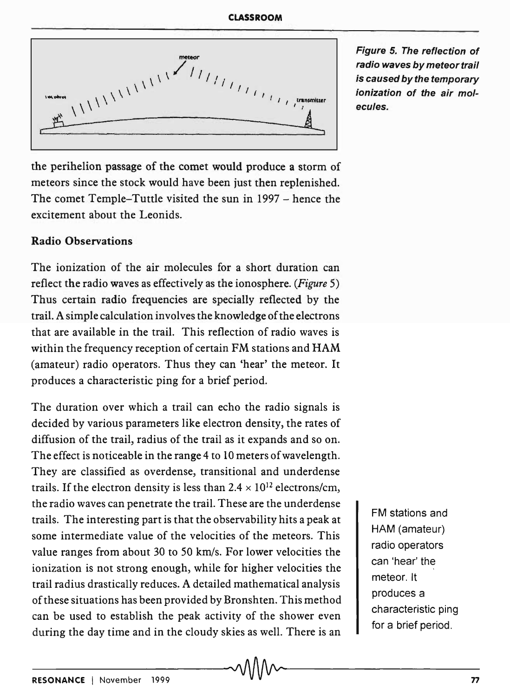

Figure 5. The reflection of radio waves by meteor trail is caused by the temporary ionization of the air molecules.

the perihelion passage of the comet would produce a storm of meteors since the stock would have been just then replenished. The comet Temple-Tuttle visited the sun in 1997 - hence the excitement about the Leonids.

# Radio Observations

The ionization of the air molecules for a short duration can reflect the radio waves as effectively as the ionosphere. *(Figure 5)*  Thus certain radio frequencies are specially reflected by the trail. A simple calculation involves the knowledge of the electrons that are available in the trail. This reflection of radio waves is within the frequency reception of certain FM stations and HAM (amateur) radio operators. Thus they can 'hear' the meteor. It produces a characteristic ping for a brief period.

The duration over which a trail can echo the radio signals is decided by various parameters like electron density, the rates of diffusion of the trail, radius of the trail as it expands and so on. The effect is noticeable in the range 4 to 10 meters of wavelength. They are classified as overdense, transitional and underdense trails. If the electron density is less than  $2.4 \times 10^{12}$  electrons/cm, the radio waves can penetrate the trail. These are the underdense trails. The interesting part is that the observability hits a peak at some intermediate value of the velocities of the meteors. This value ranges from about 30 to 50 km/s. For lower velocities the ionization is not strong enough, while for higher velocities the trail radius drastically reduces. A detailed mathematical analysis of these situations has been provided by Bronshten. This method can be used to establish the peak activity of the shower even during the day time and in the cloudy skies as well. There is an

FM stations and HAM (amateur) radio operators can 'hear' the meteor. It produces a characteristic ping for a brief period.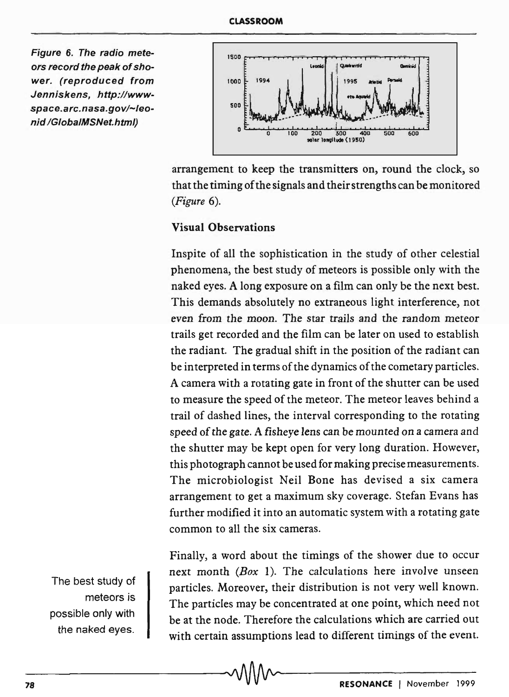Figure 6. The radio meteors record the peak of shower. (reproduced from Jenniskens, http://wwwspace.arc.nasa.gov/~leonid /GlobalMSNet.html)



arrangement to keep the transmitters on, round the clock, so that the timing of the signals and their strengths can be monitored *(Figure 6).* 

# Visual Observations

Inspite of all the sophistication in the study of other celestial phenomena, the best study of meteors is possible only with the naked eyes. A long exposure on a film can only be the next best. This demands absolutely no extraneous light interference, not even from the moon. The star trails and the random meteor trails get recorded and the film can be later on used to establish the radiant. The gradual shift in the position of the radiant can be in terpreted in terms of the dynamics of the cometary particles. A camera with a rotating gate in front of the shutter can be used to measure the speed of the meteor. The meteor leaves behind a trail of dashed lines, the interval corresponding to the rotating speed of the gate. A fisheye lens can be mounted on a camera and the shutter may be kept open for very long duration. However, this photograph cannot be used for making precise measurements. The microbiologist Neil Bone has devised a six camera arrangement to get a maximum sky coverage. Stefan Evans has further modified it into an automatic system with a rotating gate common to all the six cameras.

Finally, a word about the timings of the shower due to occur next month *(Box* 1). The calculations here involve unseen particles. Moreover, their distribution is not very well known. The particles may be concentrated at one point, which need not be at the node. Therefore the calculations which are carried out with certain assumptions lead to different timings of the event.

The best study of meteors is possible only with the naked eyes.